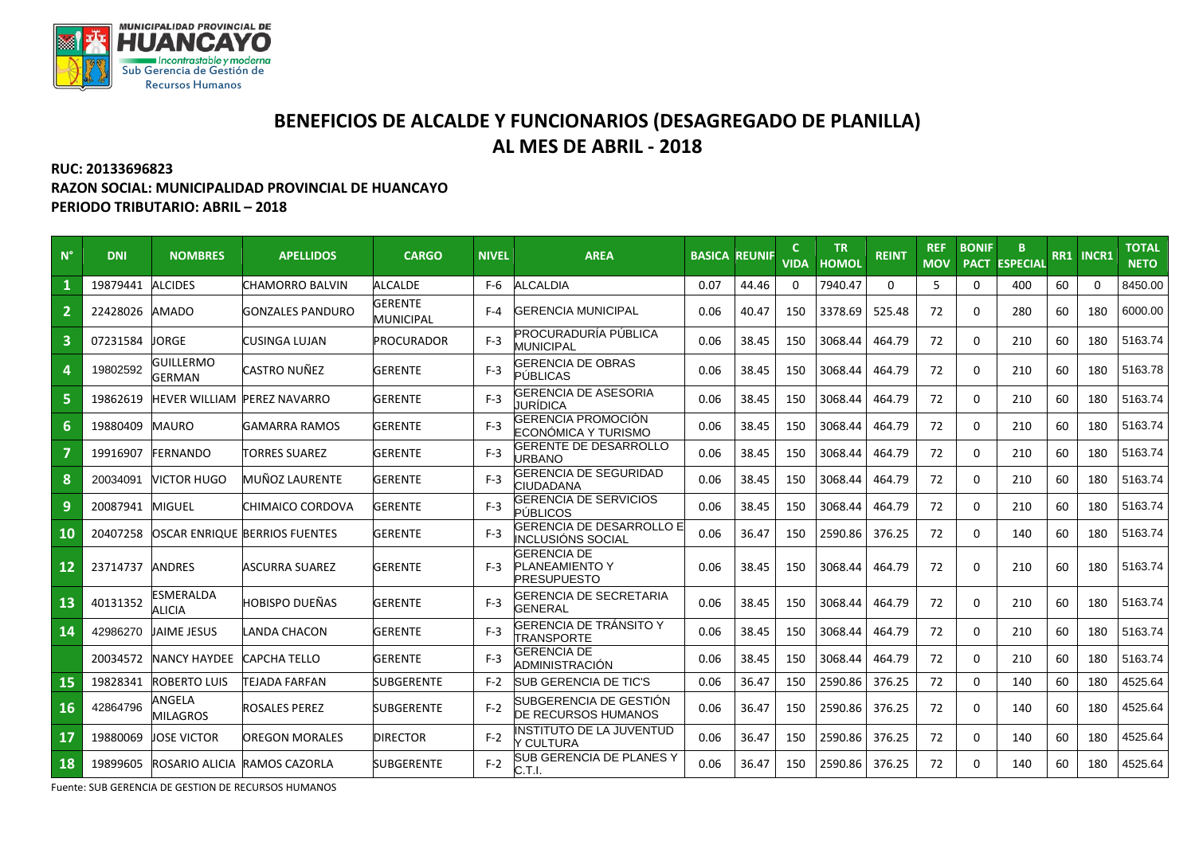

## **BENEFICIOS DE ALCALDE Y FUNCIONARIOS (DESAGREGADO DE PLANILLA) AL MES DE ABRIL - 2018**

## **RUC: 20133696823 RAZON SOCIAL: MUNICIPALIDAD PROVINCIAL DE HUANCAYO PERIODO TRIBUTARIO: ABRIL – 2018**

| $N^{\circ}$ | <b>DNI</b> | <b>NOMBRES</b>              | <b>APELLIDOS</b>               | <b>CARGO</b>                       | <b>NIVEL</b> | <b>AREA</b>                                                       | <b>BASICA</b> | <b>REUNIF</b> | <b>VIDA</b> | <b>TR</b><br><b>HOMOL</b> | <b>REINT</b> | <b>REF</b><br><b>MOV</b> | <b>BONIF</b> | B.<br><b>PACT ESPECIAL</b> | RR1 | <b>INCR1</b> | <b>TOTAL</b><br><b>NETO</b> |
|-------------|------------|-----------------------------|--------------------------------|------------------------------------|--------------|-------------------------------------------------------------------|---------------|---------------|-------------|---------------------------|--------------|--------------------------|--------------|----------------------------|-----|--------------|-----------------------------|
|             | 19879441   | <b>ALCIDES</b>              | CHAMORRO BALVIN                | <b>ALCALDE</b>                     | F-6          | <b>ALCALDIA</b>                                                   | 0.07          | 44.46         | 0           | 7940.47                   | $\mathbf 0$  | -5                       | $\mathbf{0}$ | 400                        | 60  | 0            | 8450.00                     |
|             | 22428026   | <b>AMADO</b>                | <b>GONZALES PANDURO</b>        | <b>GERENTE</b><br><b>MUNICIPAL</b> | F-4          | <b>GERENCIA MUNICIPAL</b>                                         | 0.06          | 40.47         | 150         | 3378.69                   | 525.48       | 72                       | $\Omega$     | 280                        | 60  | 180          | 6000.00                     |
| 3           | 07231584   | <b>ORGE</b>                 | CUSINGA LUJAN                  | <b>PROCURADOR</b>                  | $F-3$        | PROCURADURÍA PÚBLICA<br><b>MUNICIPAL</b>                          | 0.06          | 38.45         | 150         | 3068.44                   | 464.79       | 72                       | $\mathbf 0$  | 210                        | 60  | 180          | 5163.74                     |
| 4           | 19802592   | GUILLERMO<br>GERMAN         | CASTRO NUÑEZ                   | <b>GERENTE</b>                     | $F-3$        | <b>GERENCIA DE OBRAS</b><br><b>PÚBLICAS</b>                       | 0.06          | 38.45         | 150         | 3068.44                   | 464.79       | 72                       | $\Omega$     | 210                        | 60  | 180          | 5163.78                     |
| 5           | 19862619   | HEVER WILLIAM PEREZ NAVARRO |                                | <b>GERENTE</b>                     | $F-3$        | <b>GERENCIA DE ASESORIA</b><br>JURÍDICA                           | 0.06          | 38.45         | 150         | 3068.44                   | 464.79       | 72                       | $\Omega$     | 210                        | 60  | 180          | 5163.74                     |
| 6           | 19880409   | <b>MAURO</b>                | GAMARRA RAMOS                  | <b>GERENTE</b>                     | $F-3$        | GERENCIA PROMOCIÓN<br>ECONÓMICA Y TURISMO                         | 0.06          | 38.45         | 150         | 3068.44                   | 464.79       | 72                       | $\Omega$     | 210                        | 60  | 180          | 5163.74                     |
|             | 19916907   | <b>FERNANDO</b>             | <b>TORRES SUAREZ</b>           | <b>GERENTE</b>                     | $F-3$        | GERENTE DE DESARROLLO<br><b>JRBANO</b>                            | 0.06          | 38.45         | 150         | 3068.44                   | 464.79       | 72                       | $\mathbf{0}$ | 210                        | 60  | 180          | 5163.74                     |
| 8           | 20034091   | <b>VICTOR HUGO</b>          | MUÑOZ LAURENTE                 | <b>GERENTE</b>                     | $F-3$        | <b>GERENCIA DE SEGURIDAD</b><br>CIUDADANA                         | 0.06          | 38.45         | 150         | 3068.44                   | 464.79       | 72                       | $\Omega$     | 210                        | 60  | 180          | 5163.74                     |
| 9           | 20087941   | <b>MIGUEL</b>               | CHIMAICO CORDOVA               | <b>GERENTE</b>                     | $F-3$        | <b>GERENCIA DE SERVICIOS</b><br>PÚBLICOS                          | 0.06          | 38.45         | 150         | 3068.44                   | 464.79       | 72                       | $\Omega$     | 210                        | 60  | 180          | 5163.74                     |
| 10          | 20407258   |                             | OSCAR ENRIQUE BERRIOS FUENTES  | <b>GERENTE</b>                     | $F-3$        | GERENCIA DE DESARROLLO E<br><b>INCLUSIÓNS SOCIAL</b>              | 0.06          | 36.47         | 150         | 2590.86                   | 376.25       | 72                       | $\Omega$     | 140                        | 60  | 180          | 5163.74                     |
| 12          | 23714737   | <b>ANDRES</b>               | <b>ASCURRA SUAREZ</b>          | <b>GERENTE</b>                     | $F-3$        | <b>GERENCIA DE</b><br><b>PLANEAMIENTO Y</b><br><b>PRESUPUESTO</b> | 0.06          | 38.45         | 150         | 3068.44                   | 464.79       | 72                       | $\Omega$     | 210                        | 60  | 180          | 5163.74                     |
| 13          | 40131352   | ESMERALDA<br><b>ALICIA</b>  | HOBISPO DUEÑAS                 | <b>GERENTE</b>                     | $F-3$        | GERENCIA DE SECRETARIA<br><b>GENERAL</b>                          | 0.06          | 38.45         | 150         | 3068.44                   | 464.79       | 72                       | $\Omega$     | 210                        | 60  | 180          | 5163.74                     |
| 14          | 42986270   | JAIME JESUS                 | LANDA CHACON                   | <b>GERENTE</b>                     | $F-3$        | <b>GERENCIA DE TRÁNSITO Y</b><br><b>TRANSPORTE</b>                | 0.06          | 38.45         | 150         | 3068.44                   | 464.79       | 72                       | $\Omega$     | 210                        | 60  | 180          | 5163.74                     |
|             | 20034572   | <b>NANCY HAYDEE</b>         | CAPCHA TELLO                   | <b>GERENTE</b>                     | $F-3$        | <b>GERENCIA DE</b><br>ADMINISTRACIÓN                              | 0.06          | 38.45         | 150         | 3068.44                   | 464.79       | 72                       | $\Omega$     | 210                        | 60  | 180          | 5163.74                     |
| 15          | 19828341   | <b>ROBERTO LUIS</b>         | TEJADA FARFAN                  | <b>SUBGERENTE</b>                  | $F-2$        | <b>SUB GERENCIA DE TIC'S</b>                                      | 0.06          | 36.47         | 150         | 2590.86                   | 376.25       | 72                       | $\Omega$     | 140                        | 60  | 180          | 4525.64                     |
| 16          | 42864796   | ANGELA<br><b>MILAGROS</b>   | <b>ROSALES PEREZ</b>           | <b>SUBGERENTE</b>                  | $F-2$        | <b>SUBGERENCIA DE GESTION</b><br><b>DE RECURSOS HUMANOS</b>       | 0.06          | 36.47         | 150         | 2590.86                   | 376.25       | 72                       | $\mathbf 0$  | 140                        | 60  | 180          | 4525.64                     |
| 17          | 19880069   | JOSE VICTOR                 | OREGON MORALES                 | <b>DIRECTOR</b>                    | $F-2$        | <b>NSTITUTO DE LA JUVENTUD</b><br>CULTURA                         | 0.06          | 36.47         | 150         | 2590.86                   | 376.25       | 72                       | $\Omega$     | 140                        | 60  | 180          | 4525.64                     |
| 18          | 19899605   |                             | IROSARIO ALICIA IRAMOS CAZORLA | <b>SUBGERENTE</b>                  | $F-2$        | SUB GERENCIA DE PLANES Y<br>C.T.I.                                | 0.06          | 36.47         | 150         | 2590.86                   | 376.25       | 72                       | $\Omega$     | 140                        | 60  | 180          | 4525.64                     |

Fuente: SUB GERENCIA DE GESTION DE RECURSOS HUMANOS